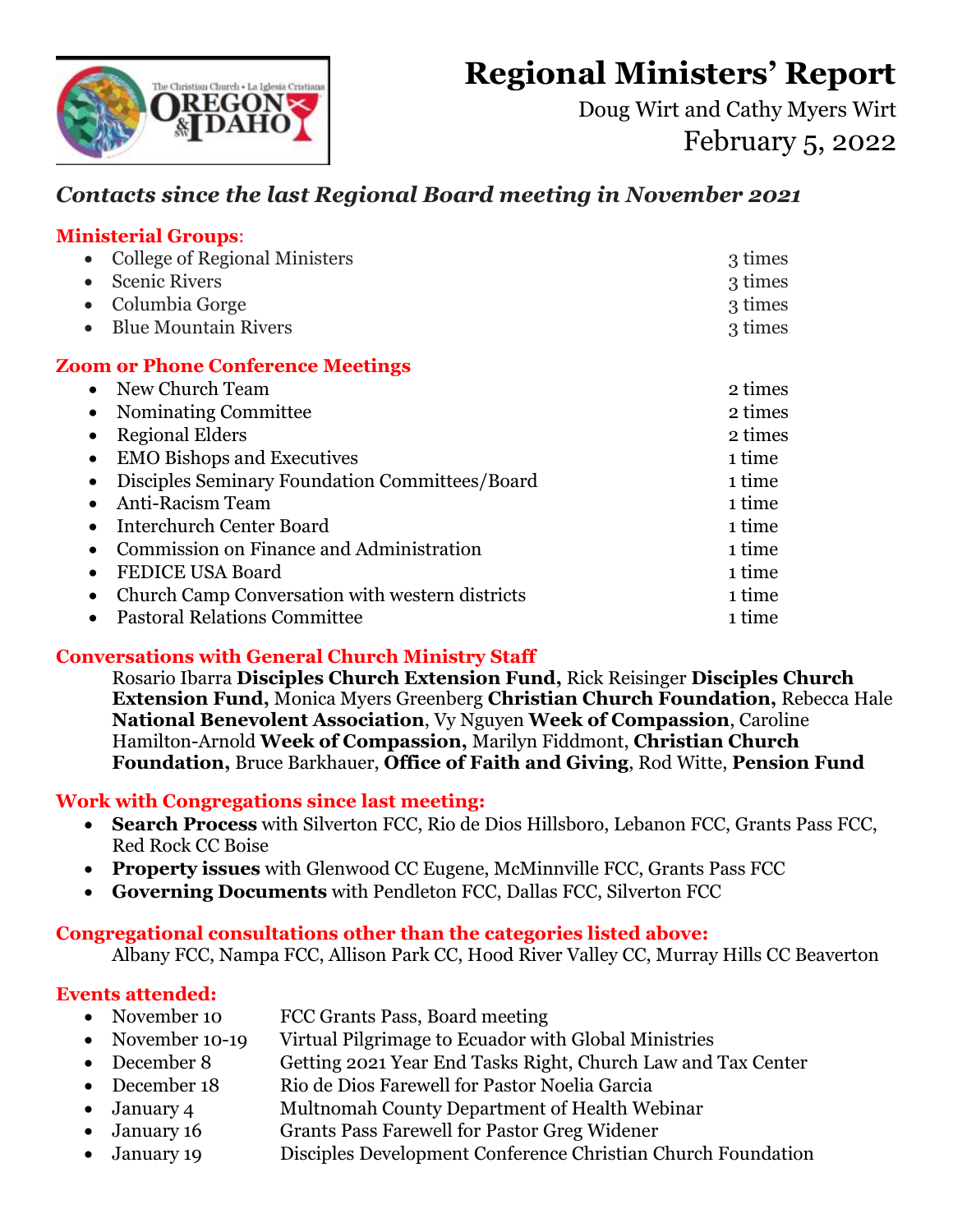**Regional Ministers' Report** 



Doug Wirt and Cathy Myers Wirt February 5, 2022

# *Contacts since the last Regional Board meeting in November 2021*

#### **Ministerial Groups**:

| <b>College of Regional Ministers</b>                         | 3 times |
|--------------------------------------------------------------|---------|
| <b>Scenic Rivers</b>                                         | 3 times |
| Columbia Gorge                                               | 3 times |
| <b>Blue Mountain Rivers</b>                                  | 3 times |
| <b>Zoom or Phone Conference Meetings</b>                     |         |
| • New Church Team                                            | 2 times |
| Nominating Committee<br>$\bullet$                            | 2 times |
| <b>Regional Elders</b><br>$\bullet$                          | 2 times |
| <b>EMO</b> Bishops and Executives<br>$\bullet$               | 1 time  |
| Disciples Seminary Foundation Committees/Board<br>$\bullet$  | 1 time  |
| <b>Anti-Racism Team</b><br>$\bullet$                         | 1 time  |
| <b>Interchurch Center Board</b>                              | 1 time  |
| Commission on Finance and Administration<br>$\bullet$        | 1 time  |
| <b>FEDICE USA Board</b><br>$\bullet$                         | 1 time  |
| Church Camp Conversation with western districts<br>$\bullet$ | 1 time  |
| <b>Pastoral Relations Committee</b>                          | 1 time  |

## **Conversations with General Church Ministry Staff**

Rosario Ibarra **Disciples Church Extension Fund,** Rick Reisinger **Disciples Church Extension Fund,** Monica Myers Greenberg **Christian Church Foundation,** Rebecca Hale **National Benevolent Association**, Vy Nguyen **Week of Compassion**, Caroline Hamilton-Arnold **Week of Compassion,** Marilyn Fiddmont, **Christian Church Foundation,** Bruce Barkhauer, **Office of Faith and Giving**, Rod Witte, **Pension Fund**

#### **Work with Congregations since last meeting:**

- **Search Process** with Silverton FCC, Rio de Dios Hillsboro, Lebanon FCC, Grants Pass FCC, Red Rock CC Boise
- **Property issues** with Glenwood CC Eugene, McMinnville FCC, Grants Pass FCC
- **Governing Documents** with Pendleton FCC, Dallas FCC, Silverton FCC

## **Congregational consultations other than the categories listed above:**

Albany FCC, Nampa FCC, Allison Park CC, Hood River Valley CC, Murray Hills CC Beaverton

# **Events attended:**

- November 10 FCC Grants Pass, Board meeting
- November 10-19 Virtual Pilgrimage to Ecuador with Global Ministries
- December 8 Getting 2021 Year End Tasks Right, Church Law and Tax Center
- December 18 Rio de Dios Farewell for Pastor Noelia Garcia
- January 4 Multnomah County Department of Health Webinar
- January 16 Grants Pass Farewell for Pastor Greg Widener
- January 19 Disciples Development Conference Christian Church Foundation